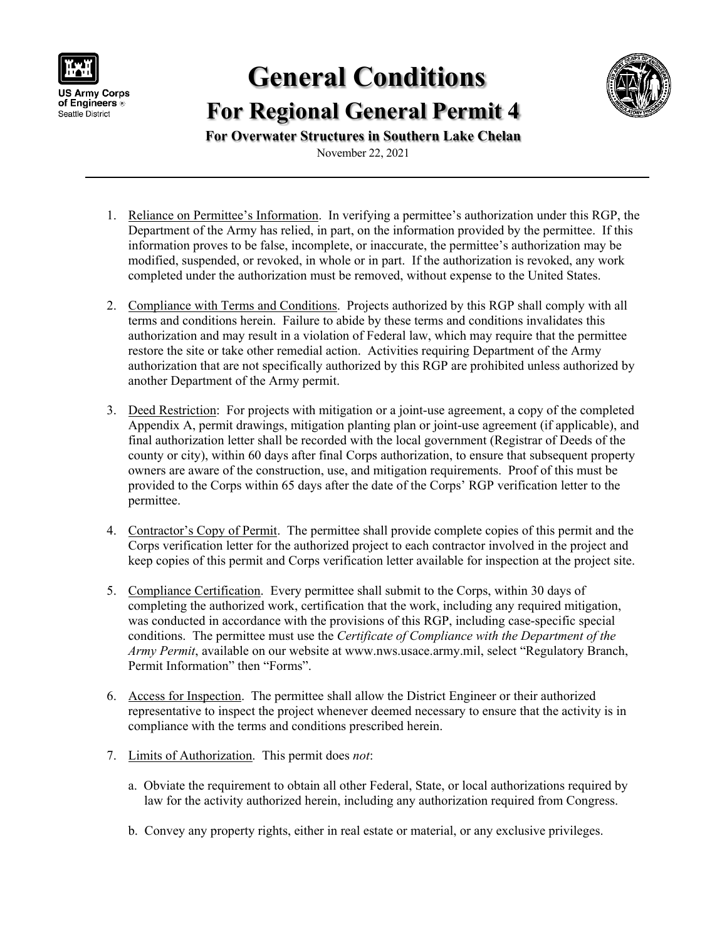

## **General Conditions For Regional General Permit 4**



**For Overwater Structures in Southern Lake Chelan**

November 22, 2021

- 1. Reliance on Permittee's Information. In verifying a permittee's authorization under this RGP, the Department of the Army has relied, in part, on the information provided by the permittee. If this information proves to be false, incomplete, or inaccurate, the permittee's authorization may be modified, suspended, or revoked, in whole or in part. If the authorization is revoked, any work completed under the authorization must be removed, without expense to the United States.
- 2. Compliance with Terms and Conditions. Projects authorized by this RGP shall comply with all terms and conditions herein. Failure to abide by these terms and conditions invalidates this authorization and may result in a violation of Federal law, which may require that the permittee restore the site or take other remedial action. Activities requiring Department of the Army authorization that are not specifically authorized by this RGP are prohibited unless authorized by another Department of the Army permit.
- 3. Deed Restriction: For projects with mitigation or a joint-use agreement, a copy of the completed Appendix A, permit drawings, mitigation planting plan or joint-use agreement (if applicable), and final authorization letter shall be recorded with the local government (Registrar of Deeds of the county or city), within 60 days after final Corps authorization, to ensure that subsequent property owners are aware of the construction, use, and mitigation requirements. Proof of this must be provided to the Corps within 65 days after the date of the Corps' RGP verification letter to the permittee.
- 4. Contractor's Copy of Permit. The permittee shall provide complete copies of this permit and the Corps verification letter for the authorized project to each contractor involved in the project and keep copies of this permit and Corps verification letter available for inspection at the project site.
- 5. Compliance Certification. Every permittee shall submit to the Corps, within 30 days of completing the authorized work, certification that the work, including any required mitigation, was conducted in accordance with the provisions of this RGP, including case-specific special conditions. The permittee must use the *Certificate of Compliance with the Department of the Army Permit*, available on our website at www.nws.usace.army.mil, select "Regulatory Branch, Permit Information" then "Forms".
- 6. Access for Inspection. The permittee shall allow the District Engineer or their authorized representative to inspect the project whenever deemed necessary to ensure that the activity is in compliance with the terms and conditions prescribed herein.
- 7. Limits of Authorization. This permit does *not*:
	- a. Obviate the requirement to obtain all other Federal, State, or local authorizations required by law for the activity authorized herein, including any authorization required from Congress.
	- b. Convey any property rights, either in real estate or material, or any exclusive privileges.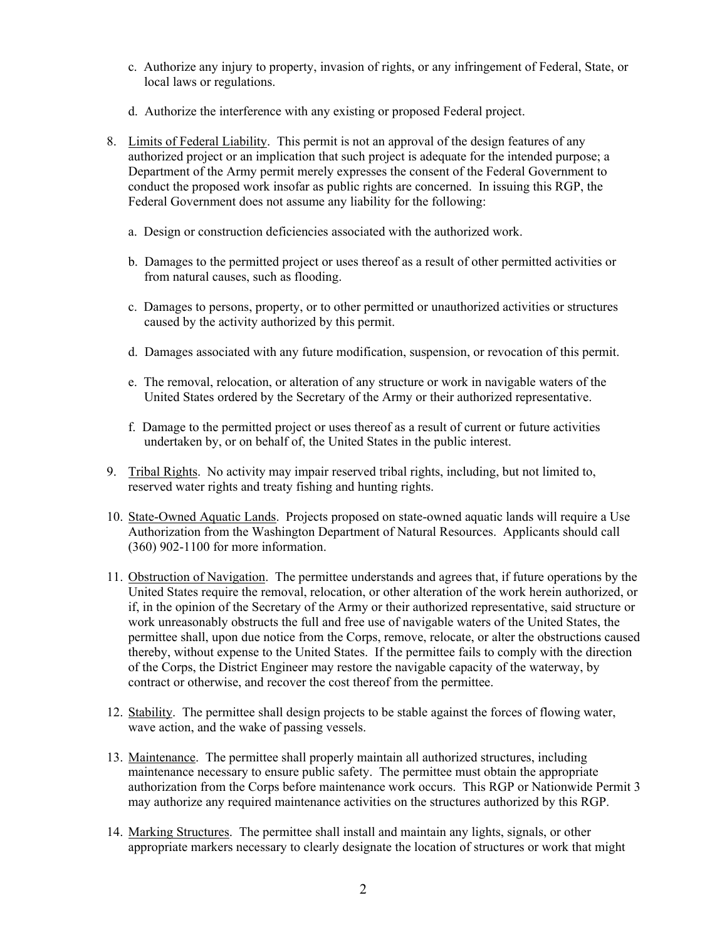- c. Authorize any injury to property, invasion of rights, or any infringement of Federal, State, or local laws or regulations.
- d. Authorize the interference with any existing or proposed Federal project.
- 8. Limits of Federal Liability. This permit is not an approval of the design features of any authorized project or an implication that such project is adequate for the intended purpose; a Department of the Army permit merely expresses the consent of the Federal Government to conduct the proposed work insofar as public rights are concerned. In issuing this RGP, the Federal Government does not assume any liability for the following:
	- a. Design or construction deficiencies associated with the authorized work.
	- b. Damages to the permitted project or uses thereof as a result of other permitted activities or from natural causes, such as flooding.
	- c. Damages to persons, property, or to other permitted or unauthorized activities or structures caused by the activity authorized by this permit.
	- d. Damages associated with any future modification, suspension, or revocation of this permit.
	- e. The removal, relocation, or alteration of any structure or work in navigable waters of the United States ordered by the Secretary of the Army or their authorized representative.
	- f. Damage to the permitted project or uses thereof as a result of current or future activities undertaken by, or on behalf of, the United States in the public interest.
- 9. Tribal Rights. No activity may impair reserved tribal rights, including, but not limited to, reserved water rights and treaty fishing and hunting rights.
- 10. State-Owned Aquatic Lands. Projects proposed on state-owned aquatic lands will require a Use Authorization from the Washington Department of Natural Resources. Applicants should call (360) 902-1100 for more information.
- 11. Obstruction of Navigation. The permittee understands and agrees that, if future operations by the United States require the removal, relocation, or other alteration of the work herein authorized, or if, in the opinion of the Secretary of the Army or their authorized representative, said structure or work unreasonably obstructs the full and free use of navigable waters of the United States, the permittee shall, upon due notice from the Corps, remove, relocate, or alter the obstructions caused thereby, without expense to the United States. If the permittee fails to comply with the direction of the Corps, the District Engineer may restore the navigable capacity of the waterway, by contract or otherwise, and recover the cost thereof from the permittee.
- 12. Stability. The permittee shall design projects to be stable against the forces of flowing water, wave action, and the wake of passing vessels.
- 13. Maintenance. The permittee shall properly maintain all authorized structures, including maintenance necessary to ensure public safety. The permittee must obtain the appropriate authorization from the Corps before maintenance work occurs. This RGP or Nationwide Permit 3 may authorize any required maintenance activities on the structures authorized by this RGP.
- 14. Marking Structures. The permittee shall install and maintain any lights, signals, or other appropriate markers necessary to clearly designate the location of structures or work that might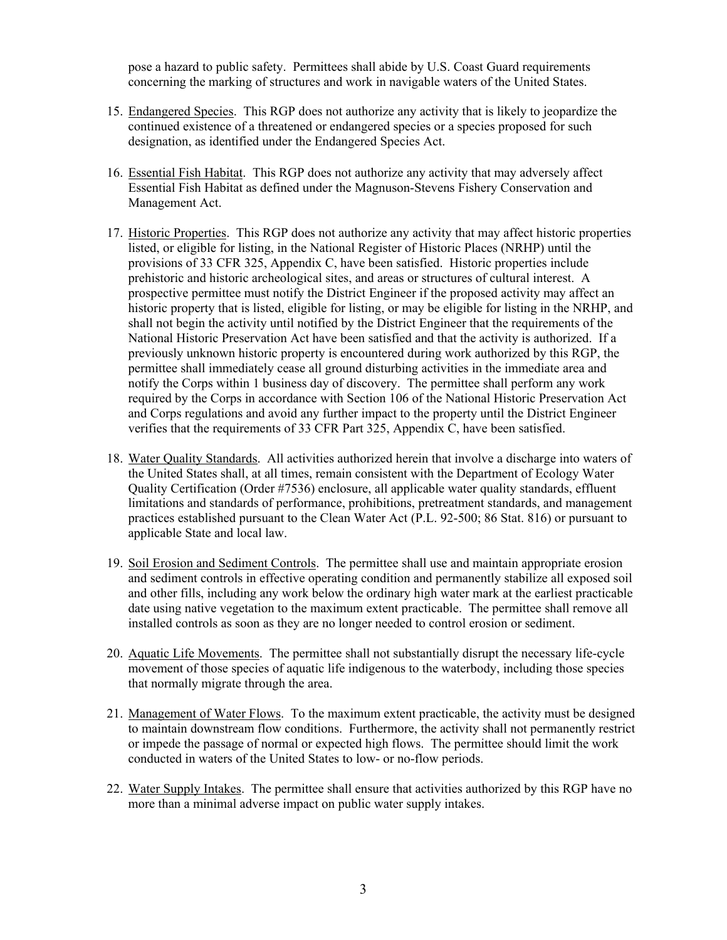pose a hazard to public safety. Permittees shall abide by U.S. Coast Guard requirements concerning the marking of structures and work in navigable waters of the United States.

- 15. Endangered Species. This RGP does not authorize any activity that is likely to jeopardize the continued existence of a threatened or endangered species or a species proposed for such designation, as identified under the Endangered Species Act.
- 16. Essential Fish Habitat. This RGP does not authorize any activity that may adversely affect Essential Fish Habitat as defined under the Magnuson-Stevens Fishery Conservation and Management Act.
- 17. Historic Properties. This RGP does not authorize any activity that may affect historic properties listed, or eligible for listing, in the National Register of Historic Places (NRHP) until the provisions of 33 CFR 325, Appendix C, have been satisfied. Historic properties include prehistoric and historic archeological sites, and areas or structures of cultural interest. A prospective permittee must notify the District Engineer if the proposed activity may affect an historic property that is listed, eligible for listing, or may be eligible for listing in the NRHP, and shall not begin the activity until notified by the District Engineer that the requirements of the National Historic Preservation Act have been satisfied and that the activity is authorized. If a previously unknown historic property is encountered during work authorized by this RGP, the permittee shall immediately cease all ground disturbing activities in the immediate area and notify the Corps within 1 business day of discovery. The permittee shall perform any work required by the Corps in accordance with Section 106 of the National Historic Preservation Act and Corps regulations and avoid any further impact to the property until the District Engineer verifies that the requirements of 33 CFR Part 325, Appendix C, have been satisfied.
- 18. Water Quality Standards. All activities authorized herein that involve a discharge into waters of the United States shall, at all times, remain consistent with the Department of Ecology Water Quality Certification (Order #7536) enclosure, all applicable water quality standards, effluent limitations and standards of performance, prohibitions, pretreatment standards, and management practices established pursuant to the Clean Water Act (P.L. 92-500; 86 Stat. 816) or pursuant to applicable State and local law.
- 19. Soil Erosion and Sediment Controls. The permittee shall use and maintain appropriate erosion and sediment controls in effective operating condition and permanently stabilize all exposed soil and other fills, including any work below the ordinary high water mark at the earliest practicable date using native vegetation to the maximum extent practicable. The permittee shall remove all installed controls as soon as they are no longer needed to control erosion or sediment.
- 20. Aquatic Life Movements. The permittee shall not substantially disrupt the necessary life-cycle movement of those species of aquatic life indigenous to the waterbody, including those species that normally migrate through the area.
- 21. Management of Water Flows. To the maximum extent practicable, the activity must be designed to maintain downstream flow conditions. Furthermore, the activity shall not permanently restrict or impede the passage of normal or expected high flows. The permittee should limit the work conducted in waters of the United States to low- or no-flow periods.
- 22. Water Supply Intakes. The permittee shall ensure that activities authorized by this RGP have no more than a minimal adverse impact on public water supply intakes.